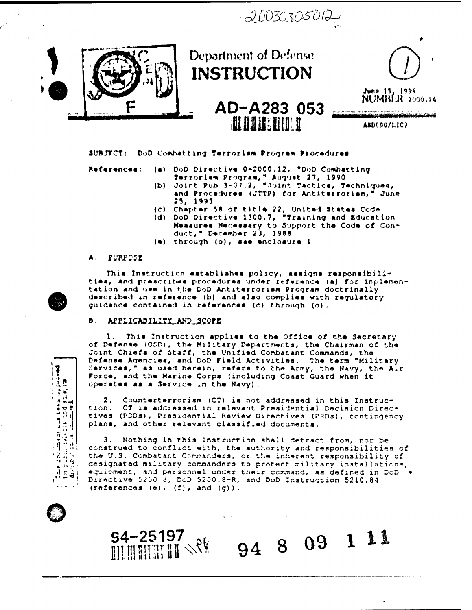$120030305012$ 



### SUBJECT: DoD Combatting Terrorism Program Procedures

References:

- (a) DoD Directive 0-2000.12, "DoD Combatting Terrorism Program, " August 27, 1990<br>(b) Joint Pub 3-07.2, "Joint Tactics, Techniques,
- and Procedures (JTTP) for Antiterrorism," June 25, 1993
- 
- (c) Chapter 58 of title 22, United States Code<br>(d) DoD Directive 1300.7, "Training and Education Measures Necessary to Support the Code of Conduct," December 23, 1988
- (e) through (o), see enclosure 1

### $\blacktriangle$  . **PURPOSE**

 $\sum_{\substack{n=1\\n\neq n}}$ 

 $\begin{array}{ll}\n\text{where } \mathbf{u} \in \mathbb{R}^n, \\
\text{where } \mathbf{u} \in \mathbb{R}^n, \\
\text{where } \mathbf{u} \in \mathbb{R}^n, \quad \text{where } \mathbf{u} \in \mathbb{R}^n, \quad \text{where } \mathbf{u} \in \mathbb{R}^n, \quad \text{where } \mathbf{u} \in \mathbb{R}^n, \quad \text{where } \mathbf{u} \in \mathbb{R}^n, \quad \text{where } \mathbf{u} \in \mathbb{R}^n, \quad \text{where } \mathbf{u} \in \mathbb{R}^n,$ 

The distinction  $\frac{1}{2}$ <br>for plane calculation of  $\frac{1}{2}$ 

 $53$ 

This Instruction establishes policy, assigns responsibilities, and prescribes procedures under reference (a) for implementation and use in the DoD Antiterrorism Program doctrinally described in reference (b) and also complies with regulatory guidance contained in references (c) through (o).

#### в. APPLICABILITY AND SCOPE

S4-25197

**DEMONDER SPR** 

This Instruction applies to the Office of the Secretary 1. of Defense (OSD), the Military Departments, the Chairman of the Joint Chiefs of Staff, the Unified Combatant Commands, the Defense Agencies, and DoD Field Activities. The term "Military Services," as used herein, refers to the Army, the Navy, the Air Force, and the Marine Corps (including Coast Guard when it operates as a Service in the Navy).

Counterterrorism (CT) is not addressed in this Instruc-2. CT is addressed in relevant Prasidential Decision Direction. tives (PDDs), Presidential Review Directives (PRDs), contingency plans, and other relevant classified documents.

3. Nothing in this Instruction shall detract from, nor be construed to conflict with, the authority and responsibilities of the U.S. Combatant Commanders, or the inherent responsibility of designated military commanders to protect military installations, equipment, and personnel under their command, as defined in DoD . Directive 5200.8, DoD 5200.8-R, and DoD Instruction 5210.84  $(references (e), (f), and (g)).$ 

94

8 09 1 11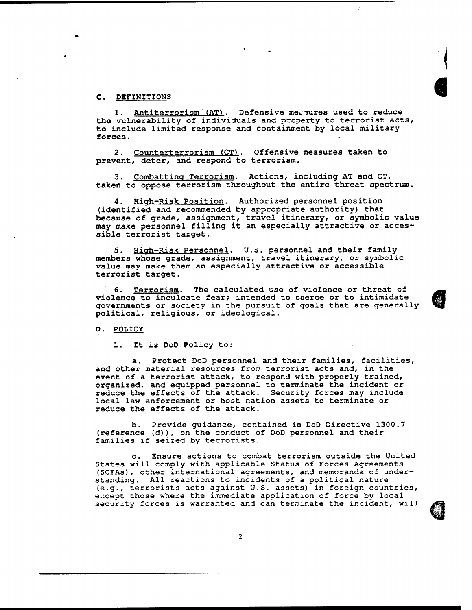## C. DEFINITIONS

1. Antiterrorism (AT). Defensive measures used to reduce the vulnerability of individuals and property to terrorist acts, to include limited response and containment by local military forces.

2. Counterterrorism (CT). Offensive measures taken to prevent, deter, and respond to terrorism.

3. Combatting Terrorism. Actions, including AT and CT, taken to oppose terrorism throughout the entire threat spectrum.

**4.** Hiah-Risk Position. Authorized personnel position (identified and recommended by appropriate authority) that because of grade, assignment, travel itinerary, or symbolic value may make personnel filling it an especially attractive or acces sible terrorist target.

**5.** Hiqh-Risk Personnel. **U.d.** personnel and their family members whose grade, assignment, travel itinerary, or symbolic value may make them an especially attractive or accessible terrorist target.

6. Terrorism. The calculated use of violence or threat of violence to inculcate fear; intended to coerce or to intimidate governments or society in the pursuit of goals that are generally political, religious, or ideological.

D. POLICY

1. It is DoD Policy to:

a. Protect DoD personnel and their families, facilities, and other material resources from terrorist acts and, in the event of a terrorist attack, to respond with properly trained, organized, and equipped personnel to terminate the incident or reduce the effects of the attack. Security forces may include local law enforcement or host nation assets to terminate or reduce the effects of the attack.

b. Provide guidance, contained in DoD Directive 1300.7 (reference **(d)),** on the conduct of DoD personnel and their families if seized by terrorists.

c. Ensure actions to combat terrorism outside the United States will comply with applicable Status of Forces Agreements (SOFAS), other international agreements, and memoranda of under standing. All reactions to incidentas of a political nature (e.g., terrorists acts against U.S. assets) in foreign countries, except those where the immediate application of force by local security forces is warranted and can terminate the incident, will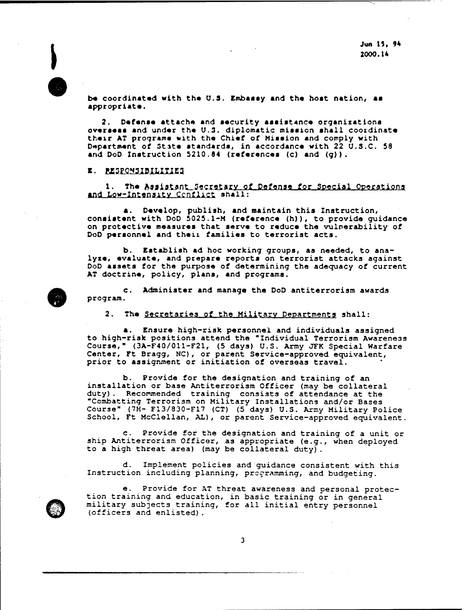be coordinated with the U.S. Embassy and the host nation, as appropriate.

**2.** Defonra attache and rocurity arrirtrnco organizations overseas and under the **U.3.** diplomatic mission shall coordinate their AT programs with the Chief of Mission and comply with Department of 3tsto rtandardr, in accordance with 22 **U.S.C.** 58 and DoD Instruction 5210.84 (references (c) and (q)).

## E. RESPONSIBILITIES

The Assistant Secretary of Defense for Special Operations and Low-Intensity Conflict shall:

**a,** Dovolop, publish, and maintain this Instruction, consistent with DoD 5025.1-M (reference  $(h)$ ), to provide guidance on protoctivo measuros that serve to reduce the vulnerability of DoD personnel and their families to terrorist acts.

b. Establish ad hoc working groups, as needed, to ana lyze, evaluate, and prepare reports on terrorist attacks against DoD assets for the purpose of determining the adequacy of current AT doctrine, policy, plans, and programs.

c. Administer and manage the DoD antiterrorism awards program.

2. The Secretaries of the Military Departments shall:

*8.* Ensure high-risk personnel and individuals assigned to high-risk positions attend the "Individual Terrorism Awareness Course," (3A-F40/011-F21, (5 days) U.S. Anny **JFK** Special Warfare Center, Ft Bragg, NC), or parent Service-approved equivalent, prior to assignment or initiation of overseas travel.

b. Provide for the designation and training of an installation or base Antiterrorism Officer (may be collateral duty). Recommended training consists of attendance at the "Conbatting Terrorism on Military Installations and/or Bases Course" (7H- F13/830-F17 (CT) (5 days) U.S. Amy Military Police School, Ft McClellan, **AL),** or parent Service-approved equivalent.

c. Provide for the designation and training of a unit or ship Antiterrorism Officer, as appropriate (e.g., when deployed to a high threat area) (may be collateral duty).

d. Implement policies and guidance consistent with this Instruction including planning, programming, and budgeting.

e. Provide for AT threat awareness and personal protec tion training and education, in basic training or in general military subjects training, for all initial entry personnel (officers and enlisted) .

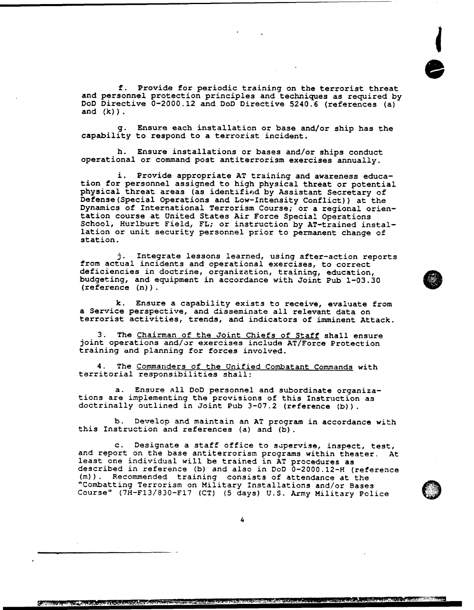f. Provide for periodic training on the terrorist threat and personnel protection principles and techniques as required by DoD Directive 0-2000.12 and DoD Directive 5240.6 (references (a) and  $(k)$  ).

g. Ensure each installation or base and/or ship has the capability to respond to a terrorist incident.

h. Ensure installations or bases and/or ships conduct operational or command post antiterrorism exercises annually.

i. Provide appropriate AT training and awareness educa tion for personnel assigned to high physical threat or potential physical threat areas (as identified by Assistant Secretary of Defense(Specia1 Operations and Low-Intensity Conflict)) at the Dynamics of International Terrorism Course; or a regional orien tation course at United States Air Force Special Operations School, Hurlburt Field, FL; or instruction by AT-trained instal lation or unit security personnel prior to permanent change of station.

j. Integrate lessons learned, using after-action reports from actual incidents and operational exercises, to correct deficiencies in doctrine, organization, training, education, budgeting, and equipment in accordance with Joint Pub 1-03.30 (reference (n) ) .

k. Ensure a capability exists to receive, evaluate from a Service perspective, and disseminate all relevant data on terrorist activities, trends, and indicators of imminent Attack.

3. The Chairman of the Joint Chiefs of Staff shall ensure joint operations and/or exercises include AT/Force Protection training and planning for forces involved.

**4.** The Commanders of the Unified Combatant Commands with territorial responsibilities shall:

a. Ensure all DoD personnel and subordinate organiza tions are implementing the provisions of this Instruction as doctrinally outlined in Joint Pub 3-07.2 (reference **(b)).** 

b. Develop and maintain an AT program in accordance with this Instruction and references (a) and **(b)**.

c. Designate a staff office to supervise, inspect, test, and report on the base antiterrorism programs within theater. At least one individual will be trained in AT procedures as described in referenee **(b)** and also in Do0 0-2000.12-H (reference (m)). Recommended training consists of attendance at the "Combatting Terrorism on Military Installations and/or Bases Course" (7H-F13/830-F17 (CT) **(5** days) U.S. Army Military Pclice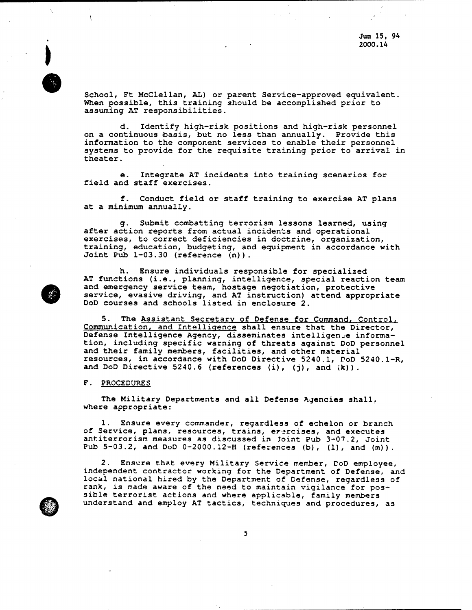School, Ft McClellan, **AL)** or parent Service-approved equivalent. When possible, this training should be accomplished prior to assuming AT responsibilities.

d. Identify high-risk positions and high-risk personnel on a continuous basis, but no less than annually. Provide this information to the component services to enable their personnel systems to provide for the requisite training prior to arrival in theater.

e. Integrate AT incidents into training scenarios for field and staff exercises.

f. Conduct field or staff training to exercise AT plans at a minimum annually.

g. Submit combatting terrorism lessons learned, using after action reports from actual incidents and operational exercises, to correct deficiencies in doctrine, organization, training, education, budgeting, and equipment in accordance with Joint Pub 1-03.30 (reference (n) ) .

h. Ensure individuals responsible for specialized AT functions (i.e., planning, intelligence, special reaction team and emergency service team, hostage negotiation, protective service, evasive driving, and AT instruction) attend appropriate DoD courses and schools listed in enclosure 2.

**5.** The Assistant Secretarv of Defense for Command. Control, Communication, and Intelliqence shall ensure that the Director, Defense Intelligence Agency, disseminates intelligenee information, including specific warning of threats against DoD personnel and their family members, facilities, and other material resources, in accordance with DoD Directive 5240.1, COD 5240.1-R, and DoD Directive 5240.6 (references (i) , **(j)**, and **;k)**) .

## <sup>F</sup>. PROCEDURES

The Military Departments and all Defense Agencies shall, where appropriate:

1. Ensure every commander, regardless of echelon or branch of Service, plans, resources, trains, erercises, and executes antiterrorism measures as discussed in Joint Pub 3-07.2, Joint Pub 5-03.2, and DoD 0-2000.12-H (references **(b)**, (I), and (m) ) .

2. Ensure that every Military Service member, DoD employee, independent contractor working for the Department of Defense, and local national hired by the Department of Defense, regardless of rank, is **made** aware of the need to maintain vigilance for possible terrorist actions and where applicable, family members understand and employ AT tactics, techniques and procedures, as

 $\mathbf{I}$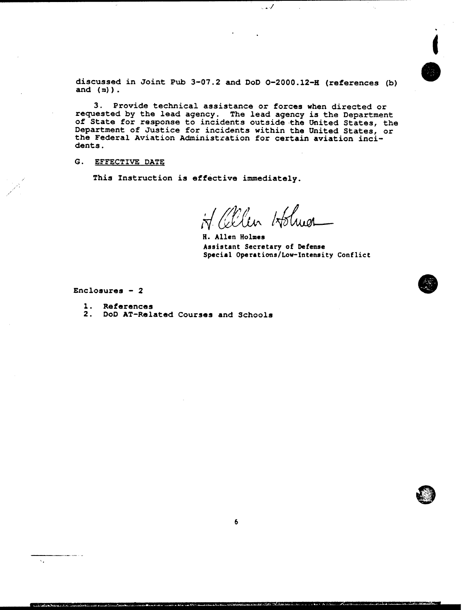**discussed in Joint Pub 3-07.2 and DoD 0-2000.12-8 (references (b) and (m)** ) .

**3. Provide technical assistance or forces when directed or** requested by the lead agency. The lead agency is the Department<br>of State for response to incidents outside the United States, the **Department of Justice for incidents within the United States, or the Federal Aviation Administration for certain aviation inci dents.** 

**G. EFFECTIVE DATE** 

**This Instruction is effective immediately.** 

H. allen Holmes

 $\mathcal{A}$ 

**R. Allen Holmes Assistant Secretary of Defense** Special Operations/Low-Intensity Conflict

**Enclosures** - **<sup>2</sup>**

 $\bar{\mathbf{v}}_i$ 

- **1. References**
- **2. DoD AT-Related Courses and Schools**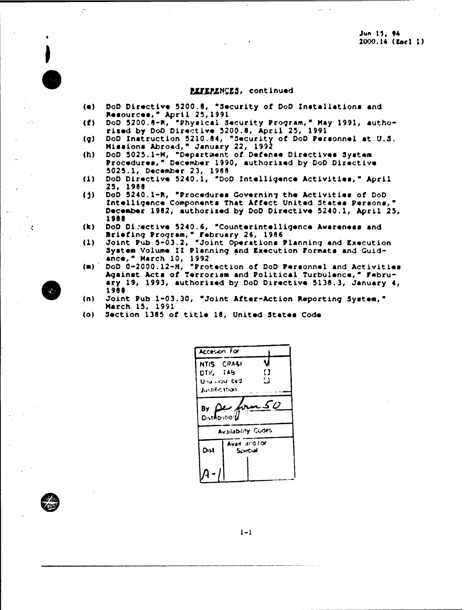# **REFERENCES, continued**

- DoD Directive 5200.8, "Security of DoD Installations and  $($ a $)$ Resources, " April 25, 1991
- DoD 5200.8-R, "Physical Security Program," May 1991, autho- $(f)$ rised by DoD Directive 5200.6, April 25, 1991
- DoD Instruction 5210.84, "Security of DoD Personnel at U.S.  $(q)$ Missions Abroad, " January 22, 1992<br>DoD 5025.1-M, "Department of Defense Directives System
- $(h)$ Procedures," December 1990, authorized by DoD Directive 5025.1, December 23, 1988
- $(1)$ DoD Directive 5240.1, "DoD Intelligence Activities," April 25, 1988
- DoD 5240.1-R, "Procedures Governing the Activities of DoD  $(5)$ Intelligence Components That Affect United States Persons," December 1982, authorized by DoD Directive 5240.1, April 25, 1988
- DoD Directive 5240.6, "Counterintelligence Awareness and  $(k)$ Briefing Program," February 26, 1986<br>Joint Pub 5-03.2, "Joint Operations Planning and Execution
- $(1)$ System Volume II Planning and Execution Formats and Guidance, " March 10, 1992
- DoD 0-2000.12-H, "Protection of DoD Personnel and Activities  $(m)$ Against Acts of Terrorism and Political Turbulence," February 19, 1993, authorized by DoD Directive 5138.3, January 4, 1988
- Joint Pub 1-03.30, "Joint After-Action Reporting System,"  $(n)$ March 15, 1991
- $(0)$ Section 1385 of title 18, United States Code

**Accesion For** u NTIS CRASI DTIC TAB  $\Omega$  $\Omega$ Unannou ced Justification. 8v. **Distributional** Availability Codes Avait and lor Dist Special

 $\tilde{\mathcal{D}}$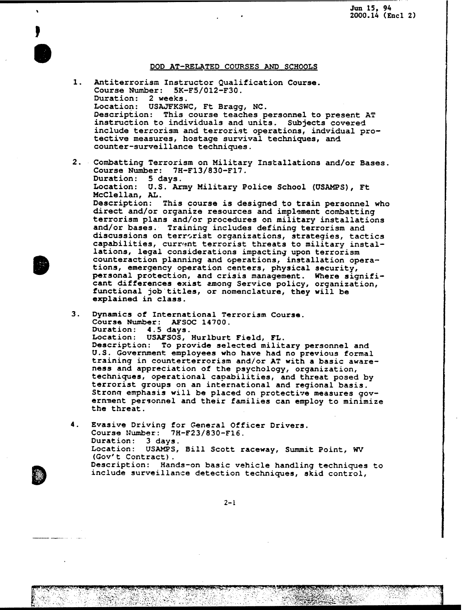*<sup>8</sup>***Jun 15, 94 2000.14 (Encl 2)** 

.

## **DOD AT-RELATED COURSES AND SCHOOLS**

**1. Antiterrorism Instructor Qualification Course. Course Number: 5K-F5/012-F30. Duration: 2 weeks. Location: USAJFKSWC, Ft Bragg, NC. Description: This course teaches personnel to present AT instruction to individuals and units. Subjects covered include terrorism and terrorist operations, indvidual pro tective measures, hostage survival techniques, and counter-surveillance techniques. Combatting Terrorism on Military Installations and/or Bases. Course Number: 7H-F13/830-F17. Duration: 5 days. Location: U.S. Army Military Police School (USAMPS), Ft McClellan, AL.** 

**Description: This course is designed to train personnel who** direct and/or organize resources and implement combatting **terrorism plans and/or procedures on military installations and/or bases. Training includes defining terrorism and** discussions on terrorist organizations, strategies, tactics capabilities, current terrorist threats to military instal**lations, legal considerations impacting upon terrorism counteraction planning and operations, installation opera tions, emergency operation centers, physical security, personal protection, and crisis management. Where signifi cant differences exist among Service policy, organization, functional job titles, or nomenclature, they will be explained in class.** 

- **3. Dynamics of International Terrorism Course. Course Number: AFSOC 14700. Duration: 4.5 days. Location: USAFSOS, Hurlburt Field, FL. Description: To provide selected military personnel and U.S. Government employees who have had no previous formal training in counterterrorism and/or AT with a basic aware ness and appreciation of the psychology, organization, techniques, operational capabilities, and threat posed by terrorist groups on an international and regional basis.** Strong emphasis will be placed on protective measures gov**ernnent personnel and their families can employ to minimize the threat.**
- **4. Evasive Driving for General Officer Drivers. Course IJumber: 7H-F23/830-F16. Duration: 3 days. Location: USAMPS, Bill Scott raceway, Summit Point, WV**  Description: Hands-on basic vehicle handling techniques to **include surveillance detection techniques, skid control,**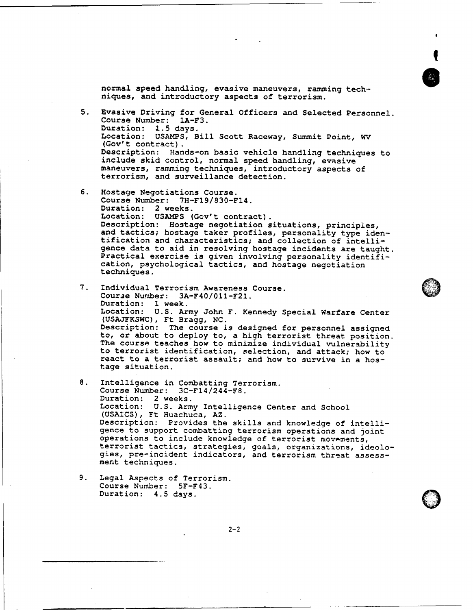normal speed handling, evasive maneuvers, ramming tech niques, and introductory aspects of terrorism. **5.** Evasive Driving for General Officers and Selected Personnel. Course Number: 1A-F3. Duration: **2.5** days. Location: USAMPS, Bill Scott Raceway, Summit Point, **WV**  Description: Hands-on basic vehicle handling techniques to include skid control, normal speed handling, evasive maneuvers, ramming techniques, introductory aspects of terrorism, and surveillance detection. 6. Hostage Negotiations Course. Course Number: 7H-F19/830-F14. Duration: 2 weeks.<br>Location: USAMPS (Gov't contract). Description: Hostage negotiation situations, principles, and tactics; hostage taker profiles, personality type iden tification and characteristics; and collection of intelli gence data to aid in resolving hostage incidents are taught. Practical exercise is given involving personality identifi cation, psychological tactics, and hostage negotiation

- Individual Terrorism Awareness Course.  $7.$ Courae Nurnber: 3A-F40/011-F21. Duration: 1 week. Location: U.S. Army John **F.** Kennedy Special Warfare Center (USAJFKSWC), Ft Bragg, NC. (USAJFKSWC), Ft Bragg, NC.<br>Description: The course is designed for personnel assigned to, or about to deploy to, a high terrorist threat position. The course teaches how to minimize individual vulnerability to terrorist identification, selection, and attack; how to react to a terrorist assault; and how to survive in a hos tage situation.
- 8. Intelligence in Combatting Terrorism. Course Number: 3C-F14/244-F8. Duration: 2 weeks. Location: U.S. Army Intelligence Center and School (USATCS), Ft Huachuca, AZ. Description: Provides the skills and knowledge of intelligence to support combatting terrorism operations and joint operations to include knowledge of terrorist movements, terrorist tactics, strategies, goals, organizations, ideolo gies, pre-incident indicators, and terrorism threat assessment techniques.
- 9. Legal Aspects of Terrorism. Course Number: SF-F43. Duration: 4.5 days.

techniques.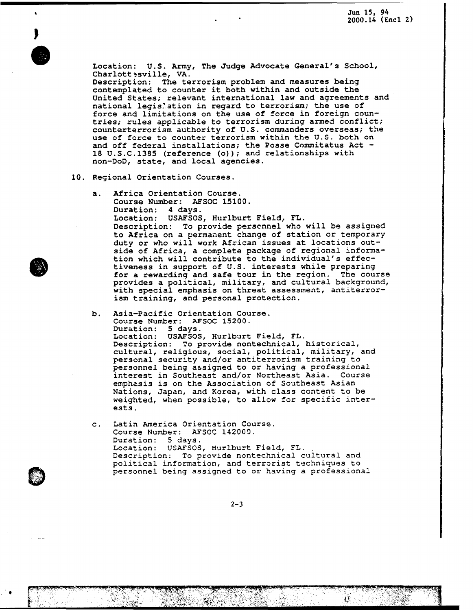

Location: U.S. Army, The Judge Advocate General's School, Charlott ?sville, VA.<br>Description: The te

The terrorism problem and measures being contemplated to counter it both within and outside the United States; relevant international law and agreements and national legis'ation in regard to terrorism; the use of force and limitations on the use of force in foreign countries; rules applicable to terrorism during armed conflict; counterterrorism authority of U.S. commanders overseas; the use of force to counter terrorism within the U.S. both on and off federal installations; the Posse Commitatus Act - 18 U.S.C.1385 (reference (o)); and relationships with non-DoD, state, and local agencies.

- 10. Regional Orientation Courses.
	- a. Africa Orientation Course. Course Number: AFSOC 15100. Duration: 4 days. Location: USAFSOS, Hurlburt Field, FL. Description: To provide perscnnel who will be assigned to Africa on a permanent change of station or temporary duty or who will work African issues at locations outside of Africa, a complete package of regional informa tion which will contribute to the individual's effec tiveness in support of U.S. interests while preparing for a rewardinq and safe tour in the region. The course provides a political, military, and cultural background, with special emphasis on threat assessment, antiterror ism training, and personal protection.
	- b. Asia-Pacific Orientation Course. Course Number: AESOC 15200. Duration: **5** days. USAFSOS, Hurlburt Field, FL. Description: To provide nontechnical, historical, cultural, religious, social, political, military, and personal security and/or antiterrorism training to personnel being assigned to or having a professional interest in Southeast and/or Northeast Asia. Course emphasis is on the Association of Southeast Asian Nations, Japan, and Korea, with class content to be weighted, when possible, to allow for specific inter ests.
	- c. Latin America Orientation Course. Course Number: AFSOC 142003. Duration: 5 days. Location: USAFSOS, Hurlburt Field, FL. Description: To provide nontechnical cultural and political information, and terrorist techniques to personnel being assigned to or having a professional